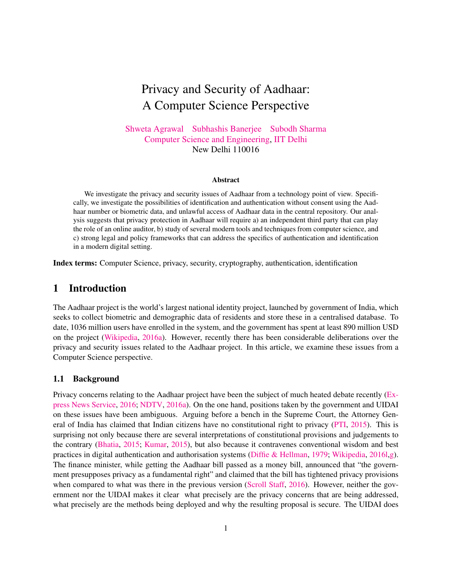# Privacy and Security of Aadhaar: A Computer Science Perspective

[Shweta Agrawal](http://www.cse.iitd.ac.in/~shweta) [Subhashis Banerjee](http://www.cse.iitd.ac.in/~suban) [Subodh Sharma](http://www.cse.iitd.ac.in/~svs) [Computer Science and Engineering,](http://www.cse.iitd.ac.in/) [IIT Delhi](http://www.iitd.ac.in/) New Delhi 110016

#### Abstract

We investigate the privacy and security issues of Aadhaar from a technology point of view. Specifically, we investigate the possibilities of identification and authentication without consent using the Aadhaar number or biometric data, and unlawful access of Aadhaar data in the central repository. Our analysis suggests that privacy protection in Aadhaar will require a) an independent third party that can play the role of an online auditor, b) study of several modern tools and techniques from computer science, and c) strong legal and policy frameworks that can address the specifics of authentication and identification in a modern digital setting.

Index terms: Computer Science, privacy, security, cryptography, authentication, identification

# 1 Introduction

The Aadhaar project is the world's largest national identity project, launched by government of India, which seeks to collect biometric and demographic data of residents and store these in a centralised database. To date, 1036 million users have enrolled in the system, and the government has spent at least 890 million USD on the project [\(Wikipedia,](#page-20-0) [2016a\)](#page-20-0). However, recently there has been considerable deliberations over the privacy and security issues related to the Aadhaar project. In this article, we examine these issues from a Computer Science perspective.

#### 1.1 Background

Privacy concerns relating to the Aadhaar project have been the subject of much heated debate recently [\(Ex](#page-18-0)[press News Service,](#page-18-0) [2016;](#page-18-0) [NDTV,](#page-19-0) [2016a\)](#page-19-0). On the one hand, positions taken by the government and UIDAI on these issues have been ambiguous. Arguing before a bench in the Supreme Court, the Attorney General of India has claimed that Indian citizens have no constitutional right to privacy [\(PTI,](#page-19-1) [2015\)](#page-19-1). This is surprising not only because there are several interpretations of constitutional provisions and judgements to the contrary [\(Bhatia,](#page-17-0) [2015;](#page-17-0) [Kumar,](#page-19-2) [2015\)](#page-19-2), but also because it contravenes conventional wisdom and best practices in digital authentication and authorisation systems [\(Diffie & Hellman,](#page-18-1) [1979;](#page-18-1) [Wikipedia,](#page-21-0) [2016l](#page-21-0)[,g\)](#page-21-1). The finance minister, while getting the Aadhaar bill passed as a money bill, announced that "the government presupposes privacy as a fundamental right" and claimed that the bill has tightened privacy provisions when compared to what was there in the previous version [\(Scroll Staff,](#page-20-1) [2016\)](#page-20-1). However, neither the government nor the UIDAI makes it clear what precisely are the privacy concerns that are being addressed, what precisely are the methods being deployed and why the resulting proposal is secure. The UIDAI does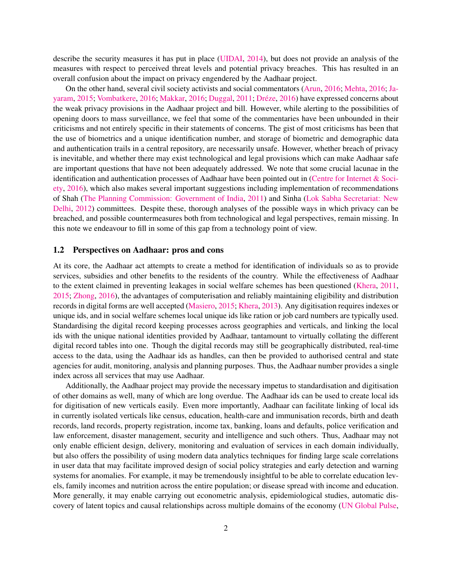describe the security measures it has put in place [\(UIDAI,](#page-20-2) [2014\)](#page-20-2), but does not provide an analysis of the measures with respect to perceived threat levels and potential privacy breaches. This has resulted in an overall confusion about the impact on privacy engendered by the Aadhaar project.

On the other hand, several civil society activists and social commentators [\(Arun,](#page-17-1) [2016;](#page-17-1) [Mehta,](#page-19-3) [2016;](#page-19-3) [Ja](#page-18-2)[yaram,](#page-18-2) [2015;](#page-18-2) [Vombatkere,](#page-20-3) [2016;](#page-19-4) [Makkar,](#page-19-4) 2016; [Duggal,](#page-18-3) [2011;](#page-18-3) Dréze, [2016\)](#page-18-4) have expressed concerns about the weak privacy provisions in the Aadhaar project and bill. However, while alerting to the possibilities of opening doors to mass surveillance, we feel that some of the commentaries have been unbounded in their criticisms and not entirely specific in their statements of concerns. The gist of most criticisms has been that the use of biometrics and a unique identification number, and storage of biometric and demographic data and authentication trails in a central repository, are necessarily unsafe. However, whether breach of privacy is inevitable, and whether there may exist technological and legal provisions which can make Aadhaar safe are important questions that have not been adequately addressed. We note that some crucial lacunae in the identification and authentication processes of Aadhaar have been pointed out in [\(Centre for Internet & Soci](#page-17-2)[ety,](#page-17-2) [2016\)](#page-17-2), which also makes several important suggestions including implementation of recommendations of Shah [\(The Planning Commission: Government of India,](#page-20-4) [2011\)](#page-20-4) and Sinha [\(Lok Sabha Secretariat: New](#page-19-5) [Delhi,](#page-19-5) [2012\)](#page-19-5) committees. Despite these, thorough analyses of the possible ways in which privacy can be breached, and possible countermeasures both from technological and legal perspectives, remain missing. In this note we endeavour to fill in some of this gap from a technology point of view.

#### 1.2 Perspectives on Aadhaar: pros and cons

At its core, the Aadhaar act attempts to create a method for identification of individuals so as to provide services, subsidies and other benefits to the residents of the country. While the effectiveness of Aadhaar to the extent claimed in preventing leakages in social welfare schemes has been questioned [\(Khera,](#page-18-5) [2011,](#page-18-5) [2015;](#page-18-6) [Zhong,](#page-22-0) [2016\)](#page-22-0), the advantages of computerisation and reliably maintaining eligibility and distribution records in digital forms are well accepted [\(Masiero,](#page-19-6) [2015;](#page-19-6) [Khera,](#page-18-7) [2013\)](#page-18-7). Any digitisation requires indexes or unique ids, and in social welfare schemes local unique ids like ration or job card numbers are typically used. Standardising the digital record keeping processes across geographies and verticals, and linking the local ids with the unique national identities provided by Aadhaar, tantamount to virtually collating the different digital record tables into one. Though the digital records may still be geographically distributed, real-time access to the data, using the Aadhaar ids as handles, can then be provided to authorised central and state agencies for audit, monitoring, analysis and planning purposes. Thus, the Aadhaar number provides a single index across all services that may use Aadhaar.

Additionally, the Aadhaar project may provide the necessary impetus to standardisation and digitisation of other domains as well, many of which are long overdue. The Aadhaar ids can be used to create local ids for digitisation of new verticals easily. Even more importantly, Aadhaar can facilitate linking of local ids in currently isolated verticals like census, education, health-care and immunisation records, birth and death records, land records, property registration, income tax, banking, loans and defaults, police verification and law enforcement, disaster management, security and intelligence and such others. Thus, Aadhaar may not only enable efficient design, delivery, monitoring and evaluation of services in each domain individually, but also offers the possibility of using modern data analytics techniques for finding large scale correlations in user data that may facilitate improved design of social policy strategies and early detection and warning systems for anomalies. For example, it may be tremendously insightful to be able to correlate education levels, family incomes and nutrition across the entire population; or disease spread with income and education. More generally, it may enable carrying out econometric analysis, epidemiological studies, automatic discovery of latent topics and causal relationships across multiple domains of the economy [\(UN Global Pulse,](#page-20-5)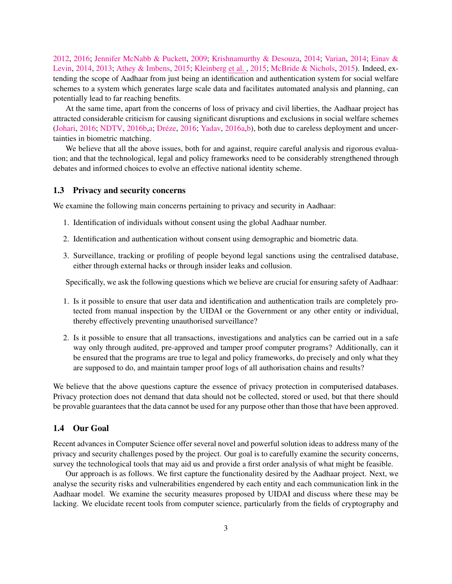[2012,](#page-20-5) [2016;](#page-20-6) [Jennifer McNabb & Puckett,](#page-18-8) [2009;](#page-18-8) [Krishnamurthy & Desouza,](#page-19-7) [2014;](#page-19-7) [Varian,](#page-20-7) [2014;](#page-20-7) [Einav &](#page-18-9) [Levin,](#page-18-9) [2014,](#page-18-9) [2013;](#page-18-10) [Athey & Imbens,](#page-17-3) [2015;](#page-17-3) [Kleinberg](#page-19-8) et al. , [2015;](#page-19-8) [McBride & Nichols,](#page-19-9) [2015\)](#page-19-9). Indeed, extending the scope of Aadhaar from just being an identification and authentication system for social welfare schemes to a system which generates large scale data and facilitates automated analysis and planning, can potentially lead to far reaching benefits.

At the same time, apart from the concerns of loss of privacy and civil liberties, the Aadhaar project has attracted considerable criticism for causing significant disruptions and exclusions in social welfare schemes [\(Johari,](#page-18-11) [2016;](#page-18-4) [NDTV,](#page-19-10) [2016b,](#page-19-10)[a;](#page-19-0) Dréze, 2016; [Yadav,](#page-22-1) [2016a](#page-22-1)[,b\)](#page-22-2), both due to careless deployment and uncertainties in biometric matching.

We believe that all the above issues, both for and against, require careful analysis and rigorous evaluation; and that the technological, legal and policy frameworks need to be considerably strengthened through debates and informed choices to evolve an effective national identity scheme.

### 1.3 Privacy and security concerns

We examine the following main concerns pertaining to privacy and security in Aadhaar:

- 1. Identification of individuals without consent using the global Aadhaar number.
- 2. Identification and authentication without consent using demographic and biometric data.
- 3. Surveillance, tracking or profiling of people beyond legal sanctions using the centralised database, either through external hacks or through insider leaks and collusion.

Specifically, we ask the following questions which we believe are crucial for ensuring safety of Aadhaar:

- 1. Is it possible to ensure that user data and identification and authentication trails are completely protected from manual inspection by the UIDAI or the Government or any other entity or individual, thereby effectively preventing unauthorised surveillance?
- 2. Is it possible to ensure that all transactions, investigations and analytics can be carried out in a safe way only through audited, pre-approved and tamper proof computer programs? Additionally, can it be ensured that the programs are true to legal and policy frameworks, do precisely and only what they are supposed to do, and maintain tamper proof logs of all authorisation chains and results?

We believe that the above questions capture the essence of privacy protection in computerised databases. Privacy protection does not demand that data should not be collected, stored or used, but that there should be provable guarantees that the data cannot be used for any purpose other than those that have been approved.

#### 1.4 Our Goal

Recent advances in Computer Science offer several novel and powerful solution ideas to address many of the privacy and security challenges posed by the project. Our goal is to carefully examine the security concerns, survey the technological tools that may aid us and provide a first order analysis of what might be feasible.

Our approach is as follows. We first capture the functionality desired by the Aadhaar project. Next, we analyse the security risks and vulnerabilities engendered by each entity and each communication link in the Aadhaar model. We examine the security measures proposed by UIDAI and discuss where these may be lacking. We elucidate recent tools from computer science, particularly from the fields of cryptography and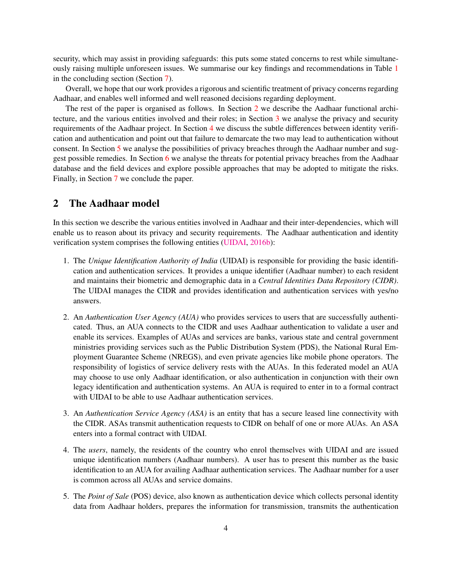security, which may assist in providing safeguards: this puts some stated concerns to rest while simultaneously raising multiple unforeseen issues. We summarise our key findings and recommendations in Table [1](#page-16-0) in the concluding section (Section [7\)](#page-15-0).

Overall, we hope that our work provides a rigorous and scientific treatment of privacy concerns regarding Aadhaar, and enables well informed and well reasoned decisions regarding deployment.

The rest of the paper is organised as follows. In Section [2](#page-3-0) we describe the Aadhaar functional architecture, and the various entities involved and their roles; in Section [3](#page-4-0) we analyse the privacy and security requirements of the Aadhaar project. In Section [4](#page-6-0) we discuss the subtle differences between identity verification and authentication and point out that failure to demarcate the two may lead to authentication without consent. In Section [5](#page-7-0) we analyse the possibilities of privacy breaches through the Aadhaar number and suggest possible remedies. In Section [6](#page-9-0) we analyse the threats for potential privacy breaches from the Aadhaar database and the field devices and explore possible approaches that may be adopted to mitigate the risks. Finally, in Section [7](#page-15-0) we conclude the paper.

# <span id="page-3-0"></span>2 The Aadhaar model

In this section we describe the various entities involved in Aadhaar and their inter-dependencies, which will enable us to reason about its privacy and security requirements. The Aadhaar authentication and identity verification system comprises the following entities [\(UIDAI,](#page-20-8) [2016b\)](#page-20-8):

- 1. The *Unique Identification Authority of India* (UIDAI) is responsible for providing the basic identification and authentication services. It provides a unique identifier (Aadhaar number) to each resident and maintains their biometric and demographic data in a *Central Identities Data Repository (CIDR)*. The UIDAI manages the CIDR and provides identification and authentication services with yes/no answers.
- 2. An *Authentication User Agency (AUA)* who provides services to users that are successfully authenticated. Thus, an AUA connects to the CIDR and uses Aadhaar authentication to validate a user and enable its services. Examples of AUAs and services are banks, various state and central government ministries providing services such as the Public Distribution System (PDS), the National Rural Employment Guarantee Scheme (NREGS), and even private agencies like mobile phone operators. The responsibility of logistics of service delivery rests with the AUAs. In this federated model an AUA may choose to use only Aadhaar identification, or also authentication in conjunction with their own legacy identification and authentication systems. An AUA is required to enter in to a formal contract with UIDAI to be able to use Aadhaar authentication services.
- 3. An *Authentication Service Agency (ASA)* is an entity that has a secure leased line connectivity with the CIDR. ASAs transmit authentication requests to CIDR on behalf of one or more AUAs. An ASA enters into a formal contract with UIDAI.
- 4. The *users*, namely, the residents of the country who enrol themselves with UIDAI and are issued unique identification numbers (Aadhaar numbers). A user has to present this number as the basic identification to an AUA for availing Aadhaar authentication services. The Aadhaar number for a user is common across all AUAs and service domains.
- 5. The *Point of Sale* (POS) device, also known as authentication device which collects personal identity data from Aadhaar holders, prepares the information for transmission, transmits the authentication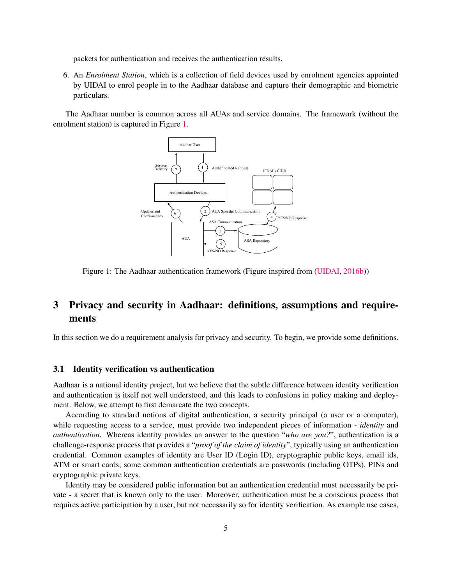packets for authentication and receives the authentication results.

6. An *Enrolment Station*, which is a collection of field devices used by enrolment agencies appointed by UIDAI to enrol people in to the Aadhaar database and capture their demographic and biometric particulars.

The Aadhaar number is common across all AUAs and service domains. The framework (without the enrolment station) is captured in Figure [1.](#page-4-1)



<span id="page-4-1"></span>Figure 1: The Aadhaar authentication framework (Figure inspired from [\(UIDAI,](#page-20-8) [2016b\)](#page-20-8))

# <span id="page-4-0"></span>3 Privacy and security in Aadhaar: definitions, assumptions and requirements

In this section we do a requirement analysis for privacy and security. To begin, we provide some definitions.

#### 3.1 Identity verification vs authentication

Aadhaar is a national identity project, but we believe that the subtle difference between identity verification and authentication is itself not well understood, and this leads to confusions in policy making and deployment. Below, we attempt to first demarcate the two concepts.

According to standard notions of digital authentication, a security principal (a user or a computer), while requesting access to a service, must provide two independent pieces of information - *identity* and *authentication*. Whereas identity provides an answer to the question "*who are you?*", authentication is a challenge-response process that provides a "*proof of the claim of identity*", typically using an authentication credential. Common examples of identity are User ID (Login ID), cryptographic public keys, email ids, ATM or smart cards; some common authentication credentials are passwords (including OTPs), PINs and cryptographic private keys.

Identity may be considered public information but an authentication credential must necessarily be private - a secret that is known only to the user. Moreover, authentication must be a conscious process that requires active participation by a user, but not necessarily so for identity verification. As example use cases,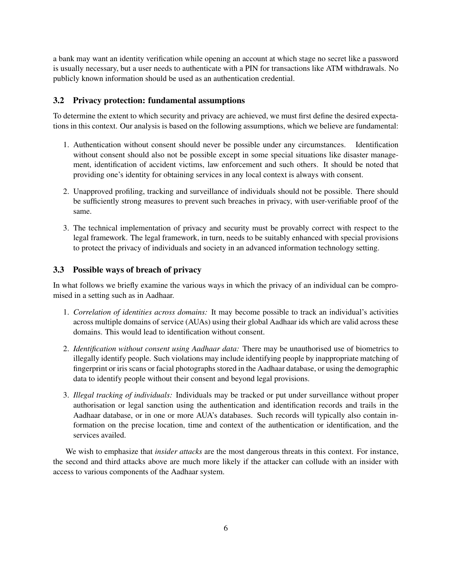a bank may want an identity verification while opening an account at which stage no secret like a password is usually necessary, but a user needs to authenticate with a PIN for transactions like ATM withdrawals. No publicly known information should be used as an authentication credential.

### 3.2 Privacy protection: fundamental assumptions

To determine the extent to which security and privacy are achieved, we must first define the desired expectations in this context. Our analysis is based on the following assumptions, which we believe are fundamental:

- 1. Authentication without consent should never be possible under any circumstances. Identification without consent should also not be possible except in some special situations like disaster management, identification of accident victims, law enforcement and such others. It should be noted that providing one's identity for obtaining services in any local context is always with consent.
- 2. Unapproved profiling, tracking and surveillance of individuals should not be possible. There should be sufficiently strong measures to prevent such breaches in privacy, with user-verifiable proof of the same.
- 3. The technical implementation of privacy and security must be provably correct with respect to the legal framework. The legal framework, in turn, needs to be suitably enhanced with special provisions to protect the privacy of individuals and society in an advanced information technology setting.

### 3.3 Possible ways of breach of privacy

In what follows we briefly examine the various ways in which the privacy of an individual can be compromised in a setting such as in Aadhaar.

- 1. *Correlation of identities across domains:* It may become possible to track an individual's activities across multiple domains of service (AUAs) using their global Aadhaar ids which are valid across these domains. This would lead to identification without consent.
- 2. *Identification without consent using Aadhaar data:* There may be unauthorised use of biometrics to illegally identify people. Such violations may include identifying people by inappropriate matching of fingerprint or iris scans or facial photographs stored in the Aadhaar database, or using the demographic data to identify people without their consent and beyond legal provisions.
- 3. *Illegal tracking of individuals:* Individuals may be tracked or put under surveillance without proper authorisation or legal sanction using the authentication and identification records and trails in the Aadhaar database, or in one or more AUA's databases. Such records will typically also contain information on the precise location, time and context of the authentication or identification, and the services availed.

We wish to emphasize that *insider attacks* are the most dangerous threats in this context. For instance, the second and third attacks above are much more likely if the attacker can collude with an insider with access to various components of the Aadhaar system.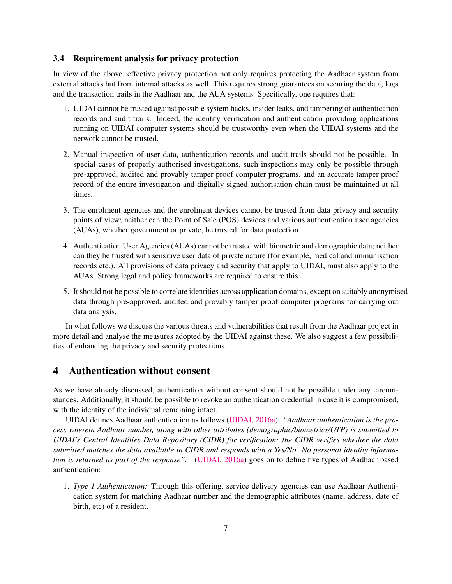#### 3.4 Requirement analysis for privacy protection

In view of the above, effective privacy protection not only requires protecting the Aadhaar system from external attacks but from internal attacks as well. This requires strong guarantees on securing the data, logs and the transaction trails in the Aadhaar and the AUA systems. Specifically, one requires that:

- 1. UIDAI cannot be trusted against possible system hacks, insider leaks, and tampering of authentication records and audit trails. Indeed, the identity verification and authentication providing applications running on UIDAI computer systems should be trustworthy even when the UIDAI systems and the network cannot be trusted.
- 2. Manual inspection of user data, authentication records and audit trails should not be possible. In special cases of properly authorised investigations, such inspections may only be possible through pre-approved, audited and provably tamper proof computer programs, and an accurate tamper proof record of the entire investigation and digitally signed authorisation chain must be maintained at all times.
- 3. The enrolment agencies and the enrolment devices cannot be trusted from data privacy and security points of view; neither can the Point of Sale (POS) devices and various authentication user agencies (AUAs), whether government or private, be trusted for data protection.
- 4. Authentication User Agencies (AUAs) cannot be trusted with biometric and demographic data; neither can they be trusted with sensitive user data of private nature (for example, medical and immunisation records etc.). All provisions of data privacy and security that apply to UIDAI, must also apply to the AUAs. Strong legal and policy frameworks are required to ensure this.
- 5. It should not be possible to correlate identities across application domains, except on suitably anonymised data through pre-approved, audited and provably tamper proof computer programs for carrying out data analysis.

In what follows we discuss the various threats and vulnerabilities that result from the Aadhaar project in more detail and analyse the measures adopted by the UIDAI against these. We also suggest a few possibilities of enhancing the privacy and security protections.

# <span id="page-6-0"></span>4 Authentication without consent

As we have already discussed, authentication without consent should not be possible under any circumstances. Additionally, it should be possible to revoke an authentication credential in case it is compromised, with the identity of the individual remaining intact.

UIDAI defines Aadhaar authentication as follows [\(UIDAI,](#page-20-9) [2016a\)](#page-20-9): *"Aadhaar authentication is the process wherein Aadhaar number, along with other attributes (demographic/biometrics/OTP) is submitted to UIDAI's Central Identities Data Repository (CIDR) for verification; the CIDR verifies whether the data submitted matches the data available in CIDR and responds with a Yes/No. No personal identity information is returned as part of the response".* [\(UIDAI,](#page-20-9) [2016a\)](#page-20-9) goes on to define five types of Aadhaar based authentication:

1. *Type 1 Authentication:* Through this offering, service delivery agencies can use Aadhaar Authentication system for matching Aadhaar number and the demographic attributes (name, address, date of birth, etc) of a resident.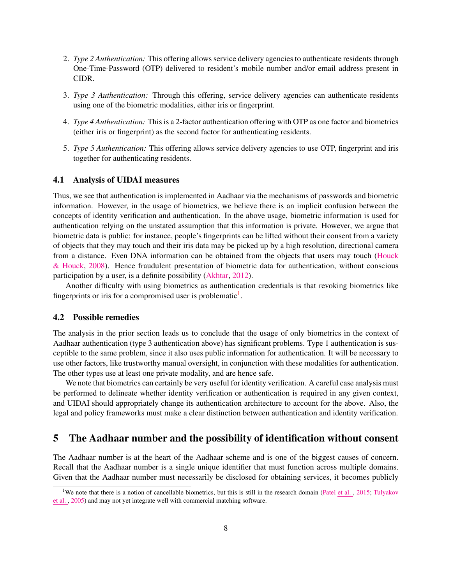- 2. *Type 2 Authentication:* This offering allows service delivery agencies to authenticate residents through One-Time-Password (OTP) delivered to resident's mobile number and/or email address present in CIDR.
- 3. *Type 3 Authentication:* Through this offering, service delivery agencies can authenticate residents using one of the biometric modalities, either iris or fingerprint.
- 4. *Type 4 Authentication:* This is a 2-factor authentication offering with OTP as one factor and biometrics (either iris or fingerprint) as the second factor for authenticating residents.
- 5. *Type 5 Authentication:* This offering allows service delivery agencies to use OTP, fingerprint and iris together for authenticating residents.

#### 4.1 Analysis of UIDAI measures

Thus, we see that authentication is implemented in Aadhaar via the mechanisms of passwords and biometric information. However, in the usage of biometrics, we believe there is an implicit confusion between the concepts of identity verification and authentication. In the above usage, biometric information is used for authentication relying on the unstated assumption that this information is private. However, we argue that biometric data is public: for instance, people's fingerprints can be lifted without their consent from a variety of objects that they may touch and their iris data may be picked up by a high resolution, directional camera from a distance. Even DNA information can be obtained from the objects that users may touch [\(Houck](#page-18-12) [& Houck,](#page-18-12) [2008\)](#page-18-12). Hence fraudulent presentation of biometric data for authentication, without conscious participation by a user, is a definite possibility [\(Akhtar,](#page-17-4) [2012\)](#page-17-4).

Another difficulty with using biometrics as authentication credentials is that revoking biometrics like fingerprints or iris for a compromised user is problematic $<sup>1</sup>$  $<sup>1</sup>$  $<sup>1</sup>$ .</sup>

#### 4.2 Possible remedies

The analysis in the prior section leads us to conclude that the usage of only biometrics in the context of Aadhaar authentication (type 3 authentication above) has significant problems. Type 1 authentication is susceptible to the same problem, since it also uses public information for authentication. It will be necessary to use other factors, like trustworthy manual oversight, in conjunction with these modalities for authentication. The other types use at least one private modality, and are hence safe.

We note that biometrics can certainly be very useful for identity verification. A careful case analysis must be performed to delineate whether identity verification or authentication is required in any given context, and UIDAI should appropriately change its authentication architecture to account for the above. Also, the legal and policy frameworks must make a clear distinction between authentication and identity verification.

## <span id="page-7-0"></span>5 The Aadhaar number and the possibility of identification without consent

The Aadhaar number is at the heart of the Aadhaar scheme and is one of the biggest causes of concern. Recall that the Aadhaar number is a single unique identifier that must function across multiple domains. Given that the Aadhaar number must necessarily be disclosed for obtaining services, it becomes publicly

<span id="page-7-1"></span><sup>&</sup>lt;sup>1</sup>We note that there is a notion of cancellable biometrics, but this is still in the research domain [\(Patel](#page-19-11) et al., [2015;](#page-19-11) [Tulyakov](#page-20-10) et [al.](#page-20-10) , [2005\)](#page-20-10) and may not yet integrate well with commercial matching software.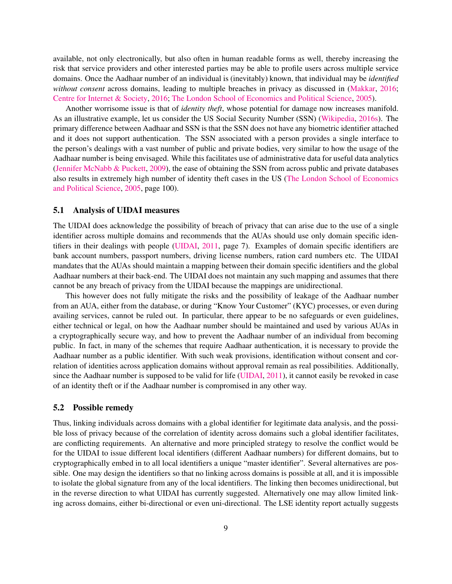available, not only electronically, but also often in human readable forms as well, thereby increasing the risk that service providers and other interested parties may be able to profile users across multiple service domains. Once the Aadhaar number of an individual is (inevitably) known, that individual may be *identified without consent* across domains, leading to multiple breaches in privacy as discussed in [\(Makkar,](#page-19-4) [2016;](#page-19-4) [Centre for Internet & Society,](#page-17-2) [2016;](#page-17-2) [The London School of Economics and Political Science,](#page-20-11) [2005\)](#page-20-11).

Another worrisome issue is that of *identity theft*, whose potential for damage now increases manifold. As an illustrative example, let us consider the US Social Security Number (SSN) [\(Wikipedia,](#page-21-2) [2016s\)](#page-21-2). The primary difference between Aadhaar and SSN is that the SSN does not have any biometric identifier attached and it does not support authentication. The SSN associated with a person provides a single interface to the person's dealings with a vast number of public and private bodies, very similar to how the usage of the Aadhaar number is being envisaged. While this facilitates use of administrative data for useful data analytics [\(Jennifer McNabb & Puckett,](#page-18-8) [2009\)](#page-18-8), the ease of obtaining the SSN from across public and private databases also results in extremely high number of identity theft cases in the US [\(The London School of Economics](#page-20-11) [and Political Science,](#page-20-11) [2005,](#page-20-11) page 100).

#### 5.1 Analysis of UIDAI measures

The UIDAI does acknowledge the possibility of breach of privacy that can arise due to the use of a single identifier across multiple domains and recommends that the AUAs should use only domain specific identifiers in their dealings with people [\(UIDAI,](#page-20-12) [2011,](#page-20-12) page 7). Examples of domain specific identifiers are bank account numbers, passport numbers, driving license numbers, ration card numbers etc. The UIDAI mandates that the AUAs should maintain a mapping between their domain specific identifiers and the global Aadhaar numbers at their back-end. The UIDAI does not maintain any such mapping and assumes that there cannot be any breach of privacy from the UIDAI because the mappings are unidirectional.

This however does not fully mitigate the risks and the possibility of leakage of the Aadhaar number from an AUA, either from the database, or during "Know Your Customer" (KYC) processes, or even during availing services, cannot be ruled out. In particular, there appear to be no safeguards or even guidelines, either technical or legal, on how the Aadhaar number should be maintained and used by various AUAs in a cryptographically secure way, and how to prevent the Aadhaar number of an individual from becoming public. In fact, in many of the schemes that require Aadhaar authentication, it is necessary to provide the Aadhaar number as a public identifier. With such weak provisions, identification without consent and correlation of identities across application domains without approval remain as real possibilities. Additionally, since the Aadhaar number is supposed to be valid for life [\(UIDAI,](#page-20-12) [2011\)](#page-20-12), it cannot easily be revoked in case of an identity theft or if the Aadhaar number is compromised in any other way.

#### 5.2 Possible remedy

Thus, linking individuals across domains with a global identifier for legitimate data analysis, and the possible loss of privacy because of the correlation of identity across domains such a global identifier facilitates, are conflicting requirements. An alternative and more principled strategy to resolve the conflict would be for the UIDAI to issue different local identifiers (different Aadhaar numbers) for different domains, but to cryptographically embed in to all local identifiers a unique "master identifier". Several alternatives are possible. One may design the identifiers so that no linking across domains is possible at all, and it is impossible to isolate the global signature from any of the local identifiers. The linking then becomes unidirectional, but in the reverse direction to what UIDAI has currently suggested. Alternatively one may allow limited linking across domains, either bi-directional or even uni-directional. The LSE identity report actually suggests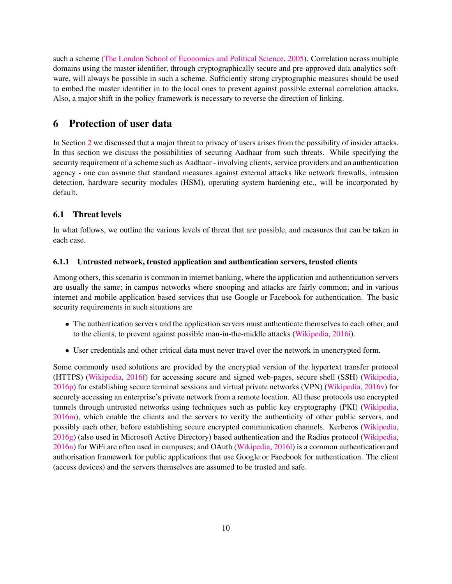such a scheme [\(The London School of Economics and Political Science,](#page-20-11) [2005\)](#page-20-11). Correlation across multiple domains using the master identifier, through cryptographically secure and pre-approved data analytics software, will always be possible in such a scheme. Sufficiently strong cryptographic measures should be used to embed the master identifier in to the local ones to prevent against possible external correlation attacks. Also, a major shift in the policy framework is necessary to reverse the direction of linking.

# <span id="page-9-0"></span>6 Protection of user data

In Section [2](#page-3-0) we discussed that a major threat to privacy of users arises from the possibility of insider attacks. In this section we discuss the possibilities of securing Aadhaar from such threats. While specifying the security requirement of a scheme such as Aadhaar - involving clients, service providers and an authentication agency - one can assume that standard measures against external attacks like network firewalls, intrusion detection, hardware security modules (HSM), operating system hardening etc., will be incorporated by default.

## 6.1 Threat levels

In what follows, we outline the various levels of threat that are possible, and measures that can be taken in each case.

#### <span id="page-9-1"></span>6.1.1 Untrusted network, trusted application and authentication servers, trusted clients

Among others, this scenario is common in internet banking, where the application and authentication servers are usually the same; in campus networks where snooping and attacks are fairly common; and in various internet and mobile application based services that use Google or Facebook for authentication. The basic security requirements in such situations are

- The authentication servers and the application servers must authenticate themselves to each other, and to the clients, to prevent against possible man-in-the-middle attacks [\(Wikipedia,](#page-21-3) [2016i\)](#page-21-3).
- User credentials and other critical data must never travel over the network in unencrypted form.

Some commonly used solutions are provided by the encrypted version of the hypertext transfer protocol (HTTPS) [\(Wikipedia,](#page-21-4) [2016f\)](#page-21-4) for accessing secure and signed web-pages, secure shell (SSH) [\(Wikipedia,](#page-21-5) [2016p\)](#page-21-5) for establishing secure terminal sessions and virtual private networks (VPN) [\(Wikipedia,](#page-21-6) [2016v\)](#page-21-6) for securely accessing an enterprise's private network from a remote location. All these protocols use encrypted tunnels through untrusted networks using techniques such as public key cryptography (PKI) [\(Wikipedia,](#page-21-7) [2016m\)](#page-21-7), which enable the clients and the servers to verify the authenticity of other public servers, and possibly each other, before establishing secure encrypted communication channels. Kerberos [\(Wikipedia,](#page-21-1) [2016g\)](#page-21-1) (also used in Microsoft Active Directory) based authentication and the Radius protocol [\(Wikipedia,](#page-21-8) [2016n\)](#page-21-8) for WiFi are often used in campuses; and OAuth [\(Wikipedia,](#page-21-0) [2016l\)](#page-21-0) is a common authentication and authorisation framework for public applications that use Google or Facebook for authentication. The client (access devices) and the servers themselves are assumed to be trusted and safe.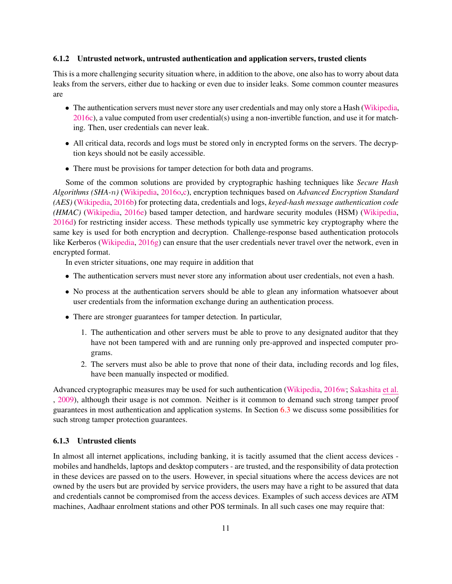#### <span id="page-10-0"></span>6.1.2 Untrusted network, untrusted authentication and application servers, trusted clients

This is a more challenging security situation where, in addition to the above, one also has to worry about data leaks from the servers, either due to hacking or even due to insider leaks. Some common counter measures are

- The authentication servers must never store any user credentials and may only store a Hash [\(Wikipedia,](#page-20-13) [2016c\)](#page-20-13), a value computed from user credential(s) using a non-invertible function, and use it for matching. Then, user credentials can never leak.
- All critical data, records and logs must be stored only in encrypted forms on the servers. The decryption keys should not be easily accessible.
- There must be provisions for tamper detection for both data and programs.

Some of the common solutions are provided by cryptographic hashing techniques like *Secure Hash Algorithms (SHA-*n*)* [\(Wikipedia,](#page-21-9) [2016o](#page-21-9)[,c\)](#page-20-13), encryption techniques based on *Advanced Encryption Standard (AES)* [\(Wikipedia,](#page-20-14) [2016b\)](#page-20-14) for protecting data, credentials and logs, *keyed-hash message authentication code (HMAC)* [\(Wikipedia,](#page-21-10) [2016e\)](#page-21-10) based tamper detection, and hardware security modules (HSM) [\(Wikipedia,](#page-21-11) [2016d\)](#page-21-11) for restricting insider access. These methods typically use symmetric key cryptography where the same key is used for both encryption and decryption. Challenge-response based authentication protocols like Kerberos [\(Wikipedia,](#page-21-1) [2016g\)](#page-21-1) can ensure that the user credentials never travel over the network, even in encrypted format.

In even stricter situations, one may require in addition that

- The authentication servers must never store any information about user credentials, not even a hash.
- No process at the authentication servers should be able to glean any information whatsoever about user credentials from the information exchange during an authentication process.
- There are stronger guarantees for tamper detection. In particular,
	- 1. The authentication and other servers must be able to prove to any designated auditor that they have not been tampered with and are running only pre-approved and inspected computer programs.
	- 2. The servers must also be able to prove that none of their data, including records and log files, have been manually inspected or modified.

Advanced cryptographic measures may be used for such authentication [\(Wikipedia,](#page-21-12) [2016w;](#page-21-12) [Sakashita](#page-20-15) et al. [,](#page-20-15) [2009\)](#page-20-15), although their usage is not common. Neither is it common to demand such strong tamper proof guarantees in most authentication and application systems. In Section [6.3](#page-12-0) we discuss some possibilities for such strong tamper protection guarantees.

#### <span id="page-10-1"></span>6.1.3 Untrusted clients

In almost all internet applications, including banking, it is tacitly assumed that the client access devices mobiles and handhelds, laptops and desktop computers - are trusted, and the responsibility of data protection in these devices are passed on to the users. However, in special situations where the access devices are not owned by the users but are provided by service providers, the users may have a right to be assured that data and credentials cannot be compromised from the access devices. Examples of such access devices are ATM machines, Aadhaar enrolment stations and other POS terminals. In all such cases one may require that: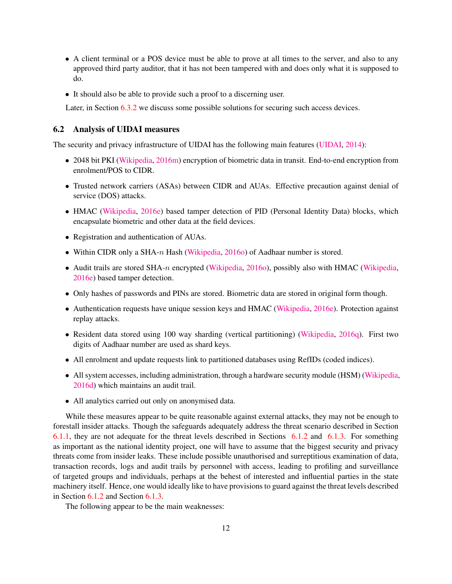- A client terminal or a POS device must be able to prove at all times to the server, and also to any approved third party auditor, that it has not been tampered with and does only what it is supposed to do.
- It should also be able to provide such a proof to a discerning user.

Later, in Section [6.3.2](#page-13-0) we discuss some possible solutions for securing such access devices.

### 6.2 Analysis of UIDAI measures

The security and privacy infrastructure of UIDAI has the following main features [\(UIDAI,](#page-20-2) [2014\)](#page-20-2):

- 2048 bit PKI [\(Wikipedia,](#page-21-7) [2016m\)](#page-21-7) encryption of biometric data in transit. End-to-end encryption from enrolment/POS to CIDR.
- Trusted network carriers (ASAs) between CIDR and AUAs. Effective precaution against denial of service (DOS) attacks.
- HMAC [\(Wikipedia,](#page-21-10) [2016e\)](#page-21-10) based tamper detection of PID (Personal Identity Data) blocks, which encapsulate biometric and other data at the field devices.
- Registration and authentication of AUAs.
- Within CIDR only a SHA-n Hash [\(Wikipedia,](#page-21-9) [2016o\)](#page-21-9) of Aadhaar number is stored.
- Audit trails are stored SHA-n encrypted [\(Wikipedia,](#page-21-9) [2016o\)](#page-21-9), possibly also with HMAC [\(Wikipedia,](#page-21-10) [2016e\)](#page-21-10) based tamper detection.
- Only hashes of passwords and PINs are stored. Biometric data are stored in original form though.
- Authentication requests have unique session keys and HMAC [\(Wikipedia,](#page-21-10) [2016e\)](#page-21-10). Protection against replay attacks.
- Resident data stored using 100 way sharding (vertical partitioning) [\(Wikipedia,](#page-21-13) [2016q\)](#page-21-13). First two digits of Aadhaar number are used as shard keys.
- All enrolment and update requests link to partitioned databases using RefIDs (coded indices).
- All system accesses, including administration, through a hardware security module (HSM) [\(Wikipedia,](#page-21-11) [2016d\)](#page-21-11) which maintains an audit trail.
- All analytics carried out only on anonymised data.

While these measures appear to be quite reasonable against external attacks, they may not be enough to forestall insider attacks. Though the safeguards adequately address the threat scenario described in Section [6.1.1,](#page-9-1) they are not adequate for the threat levels described in Sections [6.1.2](#page-10-0) and [6.1.3.](#page-10-1) For something as important as the national identity project, one will have to assume that the biggest security and privacy threats come from insider leaks. These include possible unauthorised and surreptitious examination of data, transaction records, logs and audit trails by personnel with access, leading to profiling and surveillance of targeted groups and individuals, perhaps at the behest of interested and influential parties in the state machinery itself. Hence, one would ideally like to have provisions to guard against the threat levels described in Section [6.1.2](#page-10-0) and Section [6.1.3.](#page-10-1)

The following appear to be the main weaknesses: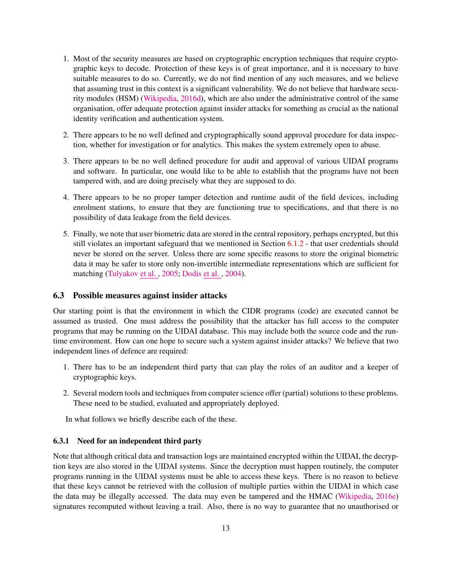- 1. Most of the security measures are based on cryptographic encryption techniques that require cryptographic keys to decode. Protection of these keys is of great importance, and it is necessary to have suitable measures to do so. Currently, we do not find mention of any such measures, and we believe that assuming trust in this context is a significant vulnerability. We do not believe that hardware security modules (HSM) [\(Wikipedia,](#page-21-11) [2016d\)](#page-21-11), which are also under the administrative control of the same organisation, offer adequate protection against insider attacks for something as crucial as the national identity verification and authentication system.
- 2. There appears to be no well defined and cryptographically sound approval procedure for data inspection, whether for investigation or for analytics. This makes the system extremely open to abuse.
- 3. There appears to be no well defined procedure for audit and approval of various UIDAI programs and software. In particular, one would like to be able to establish that the programs have not been tampered with, and are doing precisely what they are supposed to do.
- 4. There appears to be no proper tamper detection and runtime audit of the field devices, including enrolment stations, to ensure that they are functioning true to specifications, and that there is no possibility of data leakage from the field devices.
- 5. Finally, we note that user biometric data are stored in the central repository, perhaps encrypted, but this still violates an important safeguard that we mentioned in Section [6.1.2](#page-10-0) - that user credentials should never be stored on the server. Unless there are some specific reasons to store the original biometric data it may be safer to store only non-invertible intermediate representations which are sufficient for matching [\(Tulyakov](#page-20-10) et al. , [2005;](#page-20-10) [Dodis](#page-18-13) et al. , [2004\)](#page-18-13).

#### <span id="page-12-0"></span>6.3 Possible measures against insider attacks

Our starting point is that the environment in which the CIDR programs (code) are executed cannot be assumed as trusted. One must address the possibility that the attacker has full access to the computer programs that may be running on the UIDAI database. This may include both the source code and the runtime environment. How can one hope to secure such a system against insider attacks? We believe that two independent lines of defence are required:

- 1. There has to be an independent third party that can play the roles of an auditor and a keeper of cryptographic keys.
- 2. Several modern tools and techniques from computer science offer (partial) solutions to these problems. These need to be studied, evaluated and appropriately deployed.

In what follows we briefly describe each of the these.

#### 6.3.1 Need for an independent third party

Note that although critical data and transaction logs are maintained encrypted within the UIDAI, the decryption keys are also stored in the UIDAI systems. Since the decryption must happen routinely, the computer programs running in the UIDAI systems must be able to access these keys. There is no reason to believe that these keys cannot be retrieved with the collusion of multiple parties within the UIDAI in which case the data may be illegally accessed. The data may even be tampered and the HMAC [\(Wikipedia,](#page-21-10) [2016e\)](#page-21-10) signatures recomputed without leaving a trail. Also, there is no way to guarantee that no unauthorised or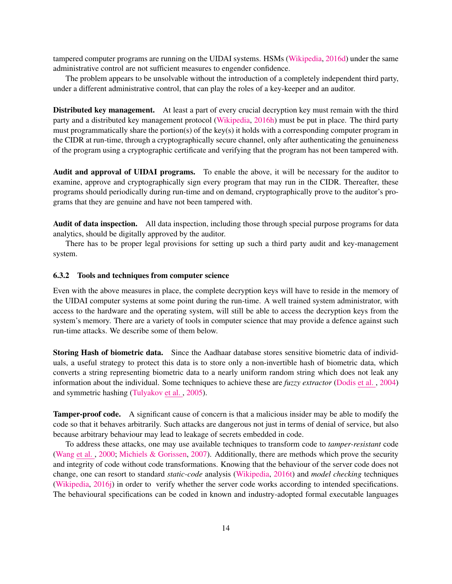tampered computer programs are running on the UIDAI systems. HSMs [\(Wikipedia,](#page-21-11) [2016d\)](#page-21-11) under the same administrative control are not sufficient measures to engender confidence.

The problem appears to be unsolvable without the introduction of a completely independent third party, under a different administrative control, that can play the roles of a key-keeper and an auditor.

Distributed key management. At least a part of every crucial decryption key must remain with the third party and a distributed key management protocol [\(Wikipedia,](#page-21-14) [2016h\)](#page-21-14) must be put in place. The third party must programmatically share the portion(s) of the key(s) it holds with a corresponding computer program in the CIDR at run-time, through a cryptographically secure channel, only after authenticating the genuineness of the program using a cryptographic certificate and verifying that the program has not been tampered with.

Audit and approval of UIDAI programs. To enable the above, it will be necessary for the auditor to examine, approve and cryptographically sign every program that may run in the CIDR. Thereafter, these programs should periodically during run-time and on demand, cryptographically prove to the auditor's programs that they are genuine and have not been tampered with.

Audit of data inspection. All data inspection, including those through special purpose programs for data analytics, should be digitally approved by the auditor.

There has to be proper legal provisions for setting up such a third party audit and key-management system.

#### <span id="page-13-0"></span>6.3.2 Tools and techniques from computer science

Even with the above measures in place, the complete decryption keys will have to reside in the memory of the UIDAI computer systems at some point during the run-time. A well trained system administrator, with access to the hardware and the operating system, will still be able to access the decryption keys from the system's memory. There are a variety of tools in computer science that may provide a defence against such run-time attacks. We describe some of them below.

Storing Hash of biometric data. Since the Aadhaar database stores sensitive biometric data of individuals, a useful strategy to protect this data is to store only a non-invertible hash of biometric data, which converts a string representing biometric data to a nearly uniform random string which does not leak any information about the individual. Some techniques to achieve these are *fuzzy extractor* [\(Dodis](#page-18-13) et al. , [2004\)](#page-18-13) and symmetric hashing [\(Tulyakov](#page-20-10) et al. , [2005\)](#page-20-10).

Tamper-proof code. A significant cause of concern is that a malicious insider may be able to modify the code so that it behaves arbitrarily. Such attacks are dangerous not just in terms of denial of service, but also because arbitrary behaviour may lead to leakage of secrets embedded in code.

To address these attacks, one may use available techniques to transform code to *tamper-resistant* code [\(Wang](#page-20-16) et al. , [2000;](#page-20-16) [Michiels & Gorissen,](#page-19-12) [2007\)](#page-19-12). Additionally, there are methods which prove the security and integrity of code without code transformations. Knowing that the behaviour of the server code does not change, one can resort to standard *static-code* analysis [\(Wikipedia,](#page-21-15) [2016t\)](#page-21-15) and *model checking* techniques [\(Wikipedia,](#page-21-16) [2016j\)](#page-21-16) in order to verify whether the server code works according to intended specifications. The behavioural specifications can be coded in known and industry-adopted formal executable languages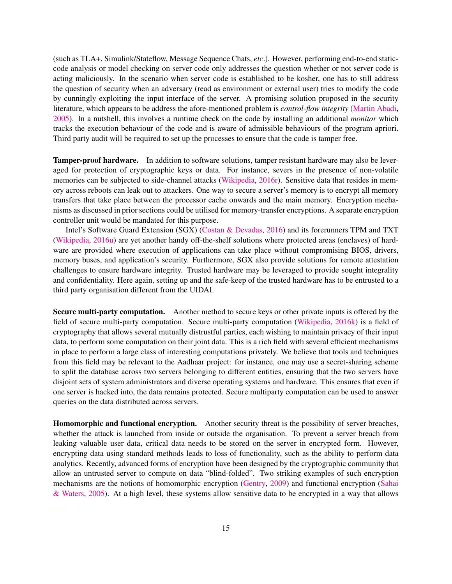(such as TLA+, Simulink/Stateflow, Message Sequence Chats, *etc*.). However, performing end-to-end staticcode analysis or model checking on server code only addresses the question whether or not server code is acting maliciously. In the scenario when server code is established to be kosher, one has to still address the question of security when an adversary (read as environment or external user) tries to modify the code by cunningly exploiting the input interface of the server. A promising solution proposed in the security literature, which appears to be address the afore-mentioned problem is *control-flow integrity* [\(Martin Abadi,](#page-19-13) [2005\)](#page-19-13). In a nutshell, this involves a runtime check on the code by installing an additional *monitor* which tracks the execution behaviour of the code and is aware of admissible behaviours of the program apriori. Third party audit will be required to set up the processes to ensure that the code is tamper free.

Tamper-proof hardware. In addition to software solutions, tamper resistant hardware may also be leveraged for protection of cryptographic keys or data. For instance, severs in the presence of non-volatile memories can be subjected to side-channel attacks [\(Wikipedia,](#page-21-17) [2016r\)](#page-21-17). Sensitive data that resides in memory across reboots can leak out to attackers. One way to secure a server's memory is to encrypt all memory transfers that take place between the processor cache onwards and the main memory. Encryption mechanisms as discussed in prior sections could be utilised for memory-transfer encryptions. A separate encryption controller unit would be mandated for this purpose.

Intel's Software Guard Extension (SGX) [\(Costan & Devadas,](#page-17-5) [2016\)](#page-17-5) and its forerunners TPM and TXT [\(Wikipedia,](#page-21-18) [2016u\)](#page-21-18) are yet another handy off-the-shelf solutions where protected areas (enclaves) of hardware are provided where execution of applications can take place without compromising BIOS, drivers, memory buses, and application's security. Furthermore, SGX also provide solutions for remote attestation challenges to ensure hardware integrity. Trusted hardware may be leveraged to provide sought integrality and confidentiality. Here again, setting up and the safe-keep of the trusted hardware has to be entrusted to a third party organisation different from the UIDAI.

Secure multi-party computation. Another method to secure keys or other private inputs is offered by the field of secure multi-party computation. Secure multi-party computation [\(Wikipedia,](#page-21-19) [2016k\)](#page-21-19) is a field of cryptography that allows several mutually distrustful parties, each wishing to maintain privacy of their input data, to perform some computation on their joint data. This is a rich field with several efficient mechanisms in place to perform a large class of interesting computations privately. We believe that tools and techniques from this field may be relevant to the Aadhaar project: for instance, one may use a secret-sharing scheme to split the database across two servers belonging to different entities, ensuring that the two servers have disjoint sets of system administrators and diverse operating systems and hardware. This ensures that even if one server is hacked into, the data remains protected. Secure multiparty computation can be used to answer queries on the data distributed across servers.

Homomorphic and functional encryption. Another security threat is the possibility of server breaches, whether the attack is launched from inside or outside the organisation. To prevent a server breach from leaking valuable user data, critical data needs to be stored on the server in encrypted form. However, encrypting data using standard methods leads to loss of functionality, such as the ability to perform data analytics. Recently, advanced forms of encryption have been designed by the cryptographic community that allow an untrusted server to compute on data "blind-folded". Two striking examples of such encryption mechanisms are the notions of homomorphic encryption [\(Gentry,](#page-18-14) [2009\)](#page-18-14) and functional encryption [\(Sahai](#page-19-14) [& Waters,](#page-19-14) [2005\)](#page-19-14). At a high level, these systems allow sensitive data to be encrypted in a way that allows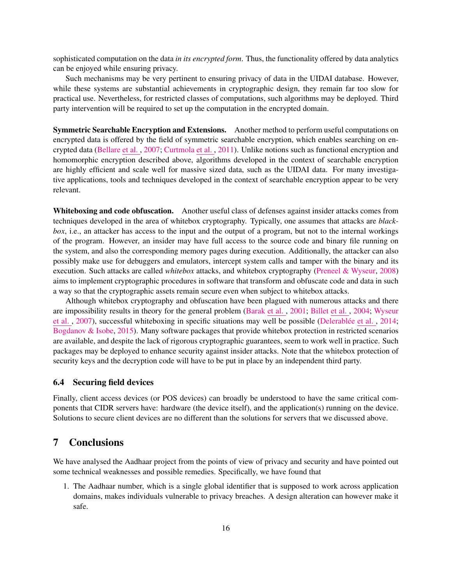sophisticated computation on the data *in its encrypted form*. Thus, the functionality offered by data analytics can be enjoyed while ensuring privacy.

Such mechanisms may be very pertinent to ensuring privacy of data in the UIDAI database. However, while these systems are substantial achievements in cryptographic design, they remain far too slow for practical use. Nevertheless, for restricted classes of computations, such algorithms may be deployed. Third party intervention will be required to set up the computation in the encrypted domain.

Symmetric Searchable Encryption and Extensions. Another method to perform useful computations on encrypted data is offered by the field of symmetric searchable encryption, which enables searching on encrypted data [\(Bellare](#page-17-6) et al. , [2007;](#page-17-6) [Curtmola](#page-17-7) et al. , [2011\)](#page-17-7). Unlike notions such as functional encryption and homomorphic encryption described above, algorithms developed in the context of searchable encryption are highly efficient and scale well for massive sized data, such as the UIDAI data. For many investigative applications, tools and techniques developed in the context of searchable encryption appear to be very relevant.

Whiteboxing and code obfuscation. Another useful class of defenses against insider attacks comes from techniques developed in the area of whitebox cryptography. Typically, one assumes that attacks are *blackbox*, i.e., an attacker has access to the input and the output of a program, but not to the internal workings of the program. However, an insider may have full access to the source code and binary file running on the system, and also the corresponding memory pages during execution. Additionally, the attacker can also possibly make use for debuggers and emulators, intercept system calls and tamper with the binary and its execution. Such attacks are called *whitebox* attacks, and whitebox cryptography [\(Preneel & Wyseur,](#page-19-15) [2008\)](#page-19-15) aims to implement cryptographic procedures in software that transform and obfuscate code and data in such a way so that the cryptographic assets remain secure even when subject to whitebox attacks.

Although whitebox cryptography and obfuscation have been plagued with numerous attacks and there are impossibility results in theory for the general problem [\(Barak](#page-17-8) et al. , [2001;](#page-17-8) [Billet](#page-17-9) et al. , [2004;](#page-17-9) [Wyseur](#page-21-20) et [al.](#page-21-20), [2007\)](#page-21-20), successful whiteboxing in specific situations may well be possible (Delerablée et al., [2014;](#page-18-15) [Bogdanov & Isobe,](#page-17-10) [2015\)](#page-17-10). Many software packages that provide whitebox protection in restricted scenarios are available, and despite the lack of rigorous cryptographic guarantees, seem to work well in practice. Such packages may be deployed to enhance security against insider attacks. Note that the whitebox protection of security keys and the decryption code will have to be put in place by an independent third party.

#### 6.4 Securing field devices

Finally, client access devices (or POS devices) can broadly be understood to have the same critical components that CIDR servers have: hardware (the device itself), and the application(s) running on the device. Solutions to secure client devices are no different than the solutions for servers that we discussed above.

# <span id="page-15-0"></span>7 Conclusions

We have analysed the Aadhaar project from the points of view of privacy and security and have pointed out some technical weaknesses and possible remedies. Specifically, we have found that

1. The Aadhaar number, which is a single global identifier that is supposed to work across application domains, makes individuals vulnerable to privacy breaches. A design alteration can however make it safe.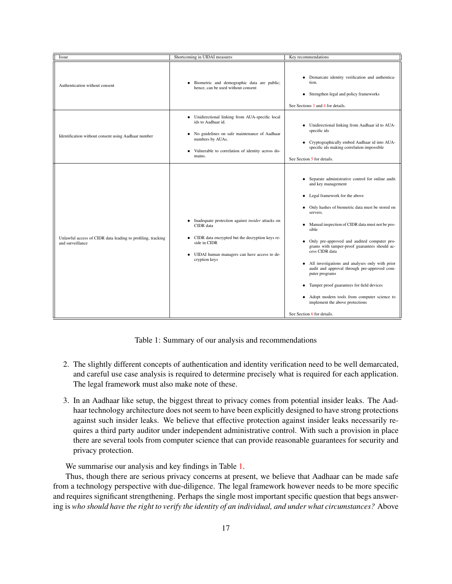| Issue                                                                           | Shortcoming in UIDAI measures                                                                                                                                                                                 | Key recommendations                                                                                                                                                                                                                                                                                                                                                                                                                                                                                                                                                                                                                                                                                         |
|---------------------------------------------------------------------------------|---------------------------------------------------------------------------------------------------------------------------------------------------------------------------------------------------------------|-------------------------------------------------------------------------------------------------------------------------------------------------------------------------------------------------------------------------------------------------------------------------------------------------------------------------------------------------------------------------------------------------------------------------------------------------------------------------------------------------------------------------------------------------------------------------------------------------------------------------------------------------------------------------------------------------------------|
| Authentication without consent                                                  | · Biometric and demographic data are public;<br>hence, can be used without consent                                                                                                                            | Demarcate identity verification and authentica-<br>$\bullet$<br>tion.<br>Strengthen legal and policy frameworks<br>٠<br>See Sections 3 and 4 for details.                                                                                                                                                                                                                                                                                                                                                                                                                                                                                                                                                   |
| Identification without consent using Aadhaar number                             | · Unidirectional linking from AUA-specific local<br>ids to Aadhaar id.<br>• No guidelines on safe maintenance of Aadhaar<br>numbers by AUAs.<br>• Vulnerable to correlation of identity across do-<br>mains.  | Unidirectional linking from Aadhaar id to AUA-<br>$\bullet$<br>specific ids<br>Cryptographically embed Aadhaar id into AUA-<br>$\bullet$<br>specific ids making correlation impossible<br>See Section 5 for details.                                                                                                                                                                                                                                                                                                                                                                                                                                                                                        |
| Unlawful access of CIDR data leading to profiling, tracking<br>and surveillance | • Inadequate protection against <i>insider</i> attacks on<br>CIDR data<br>• CIDR data encrypted but the decryption keys re-<br>side in CIDR<br>• UIDAI human managers can have access to de-<br>cryption keys | Separate administrative control for online audit<br>$\bullet$<br>and key management<br>Legal framework for the above<br>• Only hashes of biometric data must be stored on<br>servers.<br>Manual inspection of CIDR data must not be pos-<br>$\bullet$<br>sible<br>Only pre-approved and audited computer pro-<br>$\bullet$<br>grams with tamper-proof guarantees should ac-<br>cess CIDR data<br>All investigations and analyses only with prior<br>$\bullet$<br>audit and approval through pre-approved com-<br>puter programs<br>Tamper proof guarantees for field devices<br>$\bullet$<br>• Adopt modern tools from computer science to<br>implement the above protections<br>See Section 6 for details. |

<span id="page-16-0"></span>Table 1: Summary of our analysis and recommendations

- 2. The slightly different concepts of authentication and identity verification need to be well demarcated, and careful use case analysis is required to determine precisely what is required for each application. The legal framework must also make note of these.
- 3. In an Aadhaar like setup, the biggest threat to privacy comes from potential insider leaks. The Aadhaar technology architecture does not seem to have been explicitly designed to have strong protections against such insider leaks. We believe that effective protection against insider leaks necessarily requires a third party auditor under independent administrative control. With such a provision in place there are several tools from computer science that can provide reasonable guarantees for security and privacy protection.

We summarise our analysis and key findings in Table [1.](#page-16-0)

Thus, though there are serious privacy concerns at present, we believe that Aadhaar can be made safe from a technology perspective with due-diligence. The legal framework however needs to be more specific and requires significant strengthening. Perhaps the single most important specific question that begs answering is *who should have the right to verify the identity of an individual, and under what circumstances?* Above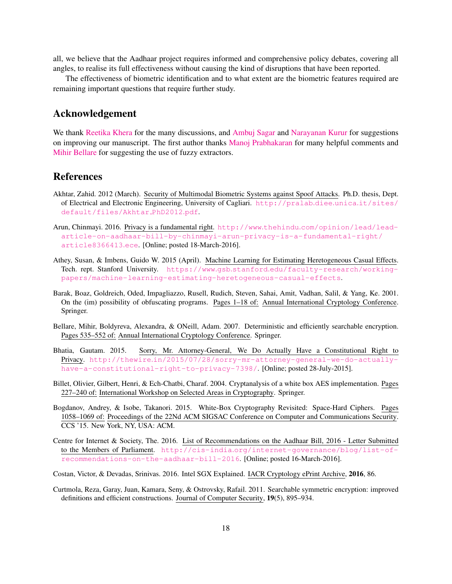all, we believe that the Aadhaar project requires informed and comprehensive policy debates, covering all angles, to realise its full effectiveness without causing the kind of disruptions that have been reported.

The effectiveness of biometric identification and to what extent are the biometric features required are remaining important questions that require further study.

# Acknowledgement

We thank [Reetika Khera](http://hss.iitd.ac.in/faculty/reetika-khera) for the many discussions, and [Ambuj Sagar](http://hss.iitd.ac.in/faculty/ambuj-sagar) and [Narayanan Kurur](http://web.iitd.ac.in/~nkurur/) for suggestions on improving our manuscript. The first author thanks [Manoj Prabhakaran](http://mmp.cs.illinois.edu) for many helpful comments and [Mihir Bellare](https://cseweb.ucsd.edu/~mihir/) for suggesting the use of fuzzy extractors.

## References

- <span id="page-17-4"></span>Akhtar, Zahid. 2012 (March). Security of Multimodal Biometric Systems against Spoof Attacks. Ph.D. thesis, Dept. of Electrical and Electronic Engineering, University of Cagliari. [http://pralab](http://pralab.diee.unica.it/sites/default/files/Akhtar_PhD2012.pdf).diee.unica.it/sites/ [default/files/Akhtar](http://pralab.diee.unica.it/sites/default/files/Akhtar_PhD2012.pdf) PhD2012.pdf.
- <span id="page-17-1"></span>Arun, Chinmayi. 2016. Privacy is a fundamental right. http://www.thehindu.[com/opinion/lead/lead](http://www.thehindu.com/opinion/lead/lead-article-on-aadhaar-bill-by-chinmayi-arun-privacy-is-a-fundamental-right/article8366413.ece)[article-on-aadhaar-bill-by-chinmayi-arun-privacy-is-a-fundamental-right/](http://www.thehindu.com/opinion/lead/lead-article-on-aadhaar-bill-by-chinmayi-arun-privacy-is-a-fundamental-right/article8366413.ece) [article8366413](http://www.thehindu.com/opinion/lead/lead-article-on-aadhaar-bill-by-chinmayi-arun-privacy-is-a-fundamental-right/article8366413.ece).ece. [Online; posted 18-March-2016].
- <span id="page-17-3"></span>Athey, Susan, & Imbens, Guido W. 2015 (April). Machine Learning for Estimating Heretogeneous Casual Effects. Tech. rept. Stanford University. https://www.gsb.stanford.[edu/faculty-research/working](https://www.gsb.stanford.edu/faculty-research/working-papers/machine-learning-estimating-heretogeneous-casual-effects)[papers/machine-learning-estimating-heretogeneous-casual-effects](https://www.gsb.stanford.edu/faculty-research/working-papers/machine-learning-estimating-heretogeneous-casual-effects).
- <span id="page-17-8"></span>Barak, Boaz, Goldreich, Oded, Impagliazzo, Rusell, Rudich, Steven, Sahai, Amit, Vadhan, Salil, & Yang, Ke. 2001. On the (im) possibility of obfuscating programs. Pages 1–18 of: Annual International Cryptology Conference. Springer.
- <span id="page-17-6"></span>Bellare, Mihir, Boldyreva, Alexandra, & ONeill, Adam. 2007. Deterministic and efficiently searchable encryption. Pages 535–552 of: Annual International Cryptology Conference. Springer.
- <span id="page-17-0"></span>Bhatia, Gautam. 2015. Sorry, Mr. Attorney-General, We Do Actually Have a Constitutional Right to Privacy. http://thewire.[in/2015/07/28/sorry-mr-attorney-general-we-do-actually](http://thewire.in/2015/07/28/sorry-mr-attorney-general-we-do-actually-have-a-constitutional-right-to-privacy-7398/)[have-a-constitutional-right-to-privacy-7398/](http://thewire.in/2015/07/28/sorry-mr-attorney-general-we-do-actually-have-a-constitutional-right-to-privacy-7398/). [Online; posted 28-July-2015].
- <span id="page-17-9"></span>Billet, Olivier, Gilbert, Henri, & Ech-Chatbi, Charaf. 2004. Cryptanalysis of a white box AES implementation. Pages 227–240 of: International Workshop on Selected Areas in Cryptography. Springer.
- <span id="page-17-10"></span>Bogdanov, Andrey, & Isobe, Takanori. 2015. White-Box Cryptography Revisited: Space-Hard Ciphers. Pages 1058–1069 of: Proceedings of the 22Nd ACM SIGSAC Conference on Computer and Communications Security. CCS '15. New York, NY, USA: ACM.
- <span id="page-17-2"></span>Centre for Internet & Society, The. 2016. List of Recommendations on the Aadhaar Bill, 2016 - Letter Submitted to the Members of Parliament. http://cis-india.[org/internet-governance/blog/list-of](http://cis-india.org/internet-governance/blog/list-of-recommendations-on-the-aadhaar-bill-2016)[recommendations-on-the-aadhaar-bill-2016](http://cis-india.org/internet-governance/blog/list-of-recommendations-on-the-aadhaar-bill-2016). [Online; posted 16-March-2016].
- <span id="page-17-5"></span>Costan, Victor, & Devadas, Srinivas. 2016. Intel SGX Explained. IACR Cryptology ePrint Archive, 2016, 86.
- <span id="page-17-7"></span>Curtmola, Reza, Garay, Juan, Kamara, Seny, & Ostrovsky, Rafail. 2011. Searchable symmetric encryption: improved definitions and efficient constructions. Journal of Computer Security, 19(5), 895–934.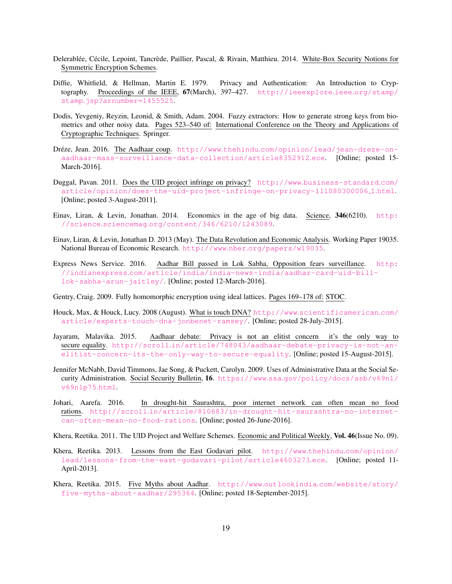- <span id="page-18-15"></span>Delerablée, Cécile, Lepoint, Tancrède, Paillier, Pascal, & Rivain, Matthieu. 2014. White-Box Security Notions for Symmetric Encryption Schemes.
- <span id="page-18-1"></span>Diffie, Whitfield, & Hellman, Martin E. 1979. Privacy and Authentication: An Introduction to Cryptography. Proceedings of the IEEE, 67(March), 397-427. [http://ieeexplore](http://ieeexplore.ieee.org/stamp/stamp.jsp?arnumber=1455525).ieee.org/stamp/ stamp.[jsp?arnumber=1455525](http://ieeexplore.ieee.org/stamp/stamp.jsp?arnumber=1455525).
- <span id="page-18-13"></span>Dodis, Yevgeniy, Reyzin, Leonid, & Smith, Adam. 2004. Fuzzy extractors: How to generate strong keys from biometrics and other noisy data. Pages 523–540 of: International Conference on the Theory and Applications of Cryptographic Techniques. Springer.
- <span id="page-18-4"></span>Dréze, Jean. 2016. The Aadhaar coup. http://www.thehindu.[com/opinion/lead/jean-dreze-on](http://www.thehindu.com/opinion/lead/jean-dreze-on-aadhaar-mass-surveillance-data-collection/article8352912.ece)[aadhaar-mass-surveillance-data-collection/article8352912](http://www.thehindu.com/opinion/lead/jean-dreze-on-aadhaar-mass-surveillance-data-collection/article8352912.ece).ece. [Online; posted 15- March-2016].
- <span id="page-18-3"></span>Duggal, Pavan. 2011. Does the UID project infringe on privacy? http://www.[business-standard](http://www.business-standard.com/article/opinion/does-the-uid-project-infringe-on-privacy-111080300006_1.html).com/ [article/opinion/does-the-uid-project-infringe-on-privacy-111080300006](http://www.business-standard.com/article/opinion/does-the-uid-project-infringe-on-privacy-111080300006_1.html) 1.html. [Online; posted 3-August-2011].
- <span id="page-18-9"></span>Einav, Liran, & Levin, Jonathan. 2014. Economics in the age of big data. Science, 346(6210). [http:](http://science.sciencemag.org/content/346/6210/1243089) //science.sciencemag.[org/content/346/6210/1243089](http://science.sciencemag.org/content/346/6210/1243089).
- <span id="page-18-10"></span>Einav, Liran, & Levin, Jonathan D. 2013 (May). The Data Revolution and Economic Analysis. Working Paper 19035. National Bureau of Economic Research. http://www.nber.[org/papers/w19035](http://www.nber.org/papers/w19035).
- <span id="page-18-0"></span>Express News Service. 2016. Aadhar Bill passed in Lok Sabha, Opposition fears surveillance. [http:](http://indianexpress.com/article/india/india-news-india/aadhar-card-uid-bill-lok-sabha-arun-jaitley/) //indianexpress.[com/article/india/india-news-india/aadhar-card-uid-bill](http://indianexpress.com/article/india/india-news-india/aadhar-card-uid-bill-lok-sabha-arun-jaitley/)[lok-sabha-arun-jaitley/](http://indianexpress.com/article/india/india-news-india/aadhar-card-uid-bill-lok-sabha-arun-jaitley/). [Online; posted 12-March-2016].
- <span id="page-18-14"></span>Gentry, Craig. 2009. Fully homomorphic encryption using ideal lattices. Pages 169–178 of: STOC.
- <span id="page-18-12"></span>Houck, Max, & Houck, Lucy. 2008 (August). What is touch DNA? http://www.[scientificamerican](http://www.scientificamerican.com/article/experts-touch-dna-jonbenet-ramsey/).com/ [article/experts-touch-dna-jonbenet-ramsey/](http://www.scientificamerican.com/article/experts-touch-dna-jonbenet-ramsey/). [Online; posted 28-July-2015].
- <span id="page-18-2"></span>Jayaram, Malavika. 2015. Aadhaar debate: Privacy is not an elitist concern it's the only way to secure equality. http://scroll.[in/article/748043/aadhaar-debate-privacy-is-not-an](http://scroll.in/article/748043/aadhaar-debate-privacy-is-not-an-elitist-concern-its-the-only-way-to-secure-equality)[elitist-concern-its-the-only-way-to-secure-equality](http://scroll.in/article/748043/aadhaar-debate-privacy-is-not-an-elitist-concern-its-the-only-way-to-secure-equality). [Online; posted 15-August-2015].
- <span id="page-18-8"></span>Jennifer McNabb, David Timmons, Jae Song, & Puckett, Carolyn. 2009. Uses of Administrative Data at the Social Security Administration. Social Security Bulletin, 16. https://www.ssa.[gov/policy/docs/ssb/v69n1/](https://www.ssa.gov/policy/docs/ssb/v69n1/v69n1p75.html) [v69n1p75](https://www.ssa.gov/policy/docs/ssb/v69n1/v69n1p75.html).html.
- <span id="page-18-11"></span>Johari, Aarefa. 2016. In drought-hit Saurashtra, poor internet network can often mean no food rations. http://scroll.[in/article/810683/in-drought-hit-saurashtra-no-internet](http://scroll.in/article/810683/in-drought-hit-saurashtra-no-internet-can-often-mean-no-food-rations)[can-often-mean-no-food-rations](http://scroll.in/article/810683/in-drought-hit-saurashtra-no-internet-can-often-mean-no-food-rations). [Online; posted 26-June-2016].
- <span id="page-18-5"></span>Khera, Reetika. 2011. The UID Project and Welfare Schemes. Economic and Political Weekly, Vol. 46(Issue No. 09).
- <span id="page-18-7"></span>Khera, Reetika. 2013. Lessons from the East Godavari pilot. http://www.thehindu.[com/opinion/](http://www.thehindu.com/opinion/lead/lessons-from-the-east-godavari-pilot/article4603273.ece) [lead/lessons-from-the-east-godavari-pilot/article4603273](http://www.thehindu.com/opinion/lead/lessons-from-the-east-godavari-pilot/article4603273.ece).ece. [Online; posted 11- April-2013].
- <span id="page-18-6"></span>Khera, Reetika. 2015. Five Myths about Aadhar. http://www.outlookindia.[com/website/story/](http://www.outlookindia.com/website/story/five-myths-about-aadhar/295364) [five-myths-about-aadhar/295364](http://www.outlookindia.com/website/story/five-myths-about-aadhar/295364). [Online; posted 18-September-2015].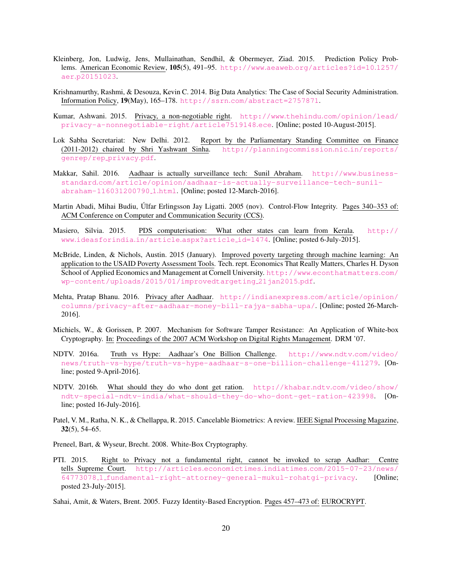- <span id="page-19-8"></span>Kleinberg, Jon, Ludwig, Jens, Mullainathan, Sendhil, & Obermeyer, Ziad. 2015. Prediction Policy Problems. American Economic Review, 105(5), 491–95. http://www.aeaweb.[org/articles?id=10](http://www.aeaweb.org/articles?id=10.1257/aer.p20151023).1257/ aer.[p20151023](http://www.aeaweb.org/articles?id=10.1257/aer.p20151023).
- <span id="page-19-7"></span>Krishnamurthy, Rashmi, & Desouza, Kevin C. 2014. Big Data Analytics: The Case of Social Security Administration. Information Policy, 19(May), 165–178. http://ssrn.[com/abstract=2757871](http://ssrn.com/abstract=2757871).
- <span id="page-19-2"></span>Kumar, Ashwani. 2015. Privacy, a non-negotiable right. http://www.thehindu.[com/opinion/lead/](http://www.thehindu.com/opinion/lead/privacy-a-nonnegotiable-right/article7519148.ece) [privacy-a-nonnegotiable-right/article7519148](http://www.thehindu.com/opinion/lead/privacy-a-nonnegotiable-right/article7519148.ece).ece. [Online; posted 10-August-2015].
- <span id="page-19-5"></span>Lok Sabha Secretariat: New Delhi. 2012. Report by the Parliamentary Standing Committee on Finance (2011-2012) chaired by Shri Yashwant Sinha. [http://planningcommission](http://planningcommission.nic.in/reports/genrep/rep_privacy.pdf).nic.in/reports/ [genrep/rep](http://planningcommission.nic.in/reports/genrep/rep_privacy.pdf) privacy.pdf.
- <span id="page-19-4"></span>Makkar, Sahil. 2016. Aadhaar is actually surveillance tech: Sunil Abraham. [http://www](http://www.business-standard.com/article/opinion/aadhaar-is-actually-surveillance-tech-sunil-abraham-116031200790_1.html).businessstandard.[com/article/opinion/aadhaar-is-actually-surveillance-tech-sunil](http://www.business-standard.com/article/opinion/aadhaar-is-actually-surveillance-tech-sunil-abraham-116031200790_1.html)[abraham-116031200790](http://www.business-standard.com/article/opinion/aadhaar-is-actually-surveillance-tech-sunil-abraham-116031200790_1.html) 1.html. [Online; posted 12-March-2016].
- <span id="page-19-13"></span>Martin Abadi, Mihai Budiu, Úlfar Erlingsson Jay Ligatti. 2005 (nov). Control-Flow Integrity. Pages 340–353 of: ACM Conference on Computer and Communication Security (CCS).
- <span id="page-19-6"></span>Masiero, Silvia. 2015. PDS computerisation: What other states can learn from Kerala. [http://](http://www.ideasforindia.in/article.aspx?article_id=1474) www.[ideasforindia](http://www.ideasforindia.in/article.aspx?article_id=1474).in/article.aspx?article id=1474. [Online; posted 6-July-2015].
- <span id="page-19-9"></span>McBride, Linden, & Nichols, Austin. 2015 (January). Improved poverty targeting through machine learning: An application to the USAID Poverty Assessment Tools. Tech. rept. Economics That Really Matters, Charles H. Dyson School of Applied Economics and Management at Cornell University. http://www.[econthatmatters](http://www.econthatmatters.com/wp-content/uploads/2015/01/improvedtargeting_21jan2015.pdf).com/ [wp-content/uploads/2015/01/improvedtargeting](http://www.econthatmatters.com/wp-content/uploads/2015/01/improvedtargeting_21jan2015.pdf) 21jan2015.pdf.
- <span id="page-19-3"></span>Mehta, Pratap Bhanu. 2016. Privacy after Aadhaar. [http://indianexpress](http://indianexpress.com/article/opinion/columns/privacy-after-aadhaar-money-bill-rajya-sabha-upa/).com/article/opinion/ [columns/privacy-after-aadhaar-money-bill-rajya-sabha-upa/](http://indianexpress.com/article/opinion/columns/privacy-after-aadhaar-money-bill-rajya-sabha-upa/). [Online; posted 26-March-2016].
- <span id="page-19-12"></span>Michiels, W., & Gorissen, P. 2007. Mechanism for Software Tamper Resistance: An Application of White-box Cryptography. In: Proceedings of the 2007 ACM Workshop on Digital Rights Management. DRM '07.
- <span id="page-19-0"></span>NDTV. 2016a. Truth vs Hype: Aadhaar's One Billion Challenge. [http://www](http://www.ndtv.com/video/news/truth-vs-hype/truth-vs-hype-aadhaar-s-one-billion-challenge-411279).ndtv.com/video/ [news/truth-vs-hype/truth-vs-hype-aadhaar-s-one-billion-challenge-411279](http://www.ndtv.com/video/news/truth-vs-hype/truth-vs-hype-aadhaar-s-one-billion-challenge-411279). [Online; posted 9-April-2016].
- <span id="page-19-10"></span>NDTV. 2016b. What should they do who dont get ration. http://khabar.ndtv.[com/video/show/](http://khabar.ndtv.com/video/show/ndtv-special-ndtv-india/what-should-they-do-who-dont-get-ration-423998) [ndtv-special-ndtv-india/what-should-they-do-who-dont-get-ration-423998](http://khabar.ndtv.com/video/show/ndtv-special-ndtv-india/what-should-they-do-who-dont-get-ration-423998). [Online; posted 16-July-2016].
- <span id="page-19-11"></span>Patel, V. M., Ratha, N. K., & Chellappa, R. 2015. Cancelable Biometrics: A review. IEEE Signal Processing Magazine, 32(5), 54–65.
- <span id="page-19-15"></span>Preneel, Bart, & Wyseur, Brecht. 2008. White-Box Cryptography.
- <span id="page-19-1"></span>PTI. 2015. Right to Privacy not a fundamental right, cannot be invoked to scrap Aadhar: Centre tells Supreme Court. http://articles.economictimes.indiatimes.[com/2015-07-23/news/](http://articles.economictimes.indiatimes.com/2015-07-23/news/64773078_1_fundamental-right-attorney-general-mukul-rohatgi-privacy) 64773078 1 [fundamental-right-attorney-general-mukul-rohatgi-privacy](http://articles.economictimes.indiatimes.com/2015-07-23/news/64773078_1_fundamental-right-attorney-general-mukul-rohatgi-privacy). [Online; posted 23-July-2015].
- <span id="page-19-14"></span>Sahai, Amit, & Waters, Brent. 2005. Fuzzy Identity-Based Encryption. Pages 457–473 of: EUROCRYPT.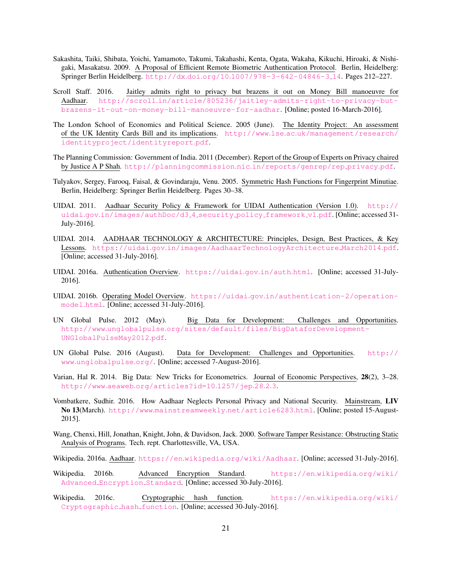- <span id="page-20-15"></span>Sakashita, Taiki, Shibata, Yoichi, Yamamoto, Takumi, Takahashi, Kenta, Ogata, Wakaha, Kikuchi, Hiroaki, & Nishigaki, Masakatsu. 2009. A Proposal of Efficient Remote Biometric Authentication Protocol. Berlin, Heidelberg: Springer Berlin Heidelberg. http://dx.doi.org/10.[1007/978-3-642-04846-3](http://dx.doi.org/10.1007/978-3-642-04846-3_14) 14. Pages 212–227.
- <span id="page-20-1"></span>Scroll Staff. 2016. Jaitley admits right to privacy but brazens it out on Money Bill manoeuvre for Aadhaar. http://scroll.[in/article/805236/jaitley-admits-right-to-privacy-but](http://scroll.in/article/805236/jaitley-admits-right-to-privacy-but-brazens-it-out-on-money-bill-manoeuvre-for-aadhar)[brazens-it-out-on-money-bill-manoeuvre-for-aadhar](http://scroll.in/article/805236/jaitley-admits-right-to-privacy-but-brazens-it-out-on-money-bill-manoeuvre-for-aadhar). [Online; posted 16-March-2016].
- <span id="page-20-11"></span>The London School of Economics and Political Science. 2005 (June). The Identity Project: An assessment of the UK Identity Cards Bill and its implications. http://www.lse.ac.[uk/management/research/](http://www.lse.ac.uk/management/research/identityproject/identityreport.pdf) [identityproject/identityreport](http://www.lse.ac.uk/management/research/identityproject/identityreport.pdf).pdf.
- <span id="page-20-4"></span>The Planning Commission: Government of India. 2011 (December). Report of the Group of Experts on Privacy chaired by Justice A P Shah. [http://planningcommission](http://planningcommission.nic.in/reports/genrep/rep_privacy.pdf).nic.in/reports/genrep/rep privacy.pdf.
- <span id="page-20-10"></span>Tulyakov, Sergey, Farooq, Faisal, & Govindaraju, Venu. 2005. Symmetric Hash Functions for Fingerprint Minutiae. Berlin, Heidelberg: Springer Berlin Heidelberg. Pages 30–38.
- <span id="page-20-12"></span>UIDAI. 2011. Aadhaar Security Policy & Framework for UIDAI Authentication (Version 1.0). [http://](http://uidai.gov.in/images/authDoc/d3_4_security_policy_framework_v1.pdf) uidai.gov.[in/images/authDoc/d3](http://uidai.gov.in/images/authDoc/d3_4_security_policy_framework_v1.pdf) 4 security policy framework v1.pdf. [Online; accessed 31- July-2016].
- <span id="page-20-2"></span>UIDAI. 2014. AADHAAR TECHNOLOGY & ARCHITECTURE: Principles, Design, Best Practices, & Key Lessons. https://uidai.gov.[in/images/AadhaarTechnologyArchitecture](https://uidai.gov.in/images/AadhaarTechnologyArchitecture_March2014.pdf) March2014.pdf. [Online; accessed 31-July-2016].
- <span id="page-20-9"></span>UIDAI. 2016a. Authentication Overview. [https://uidai](https://uidai.gov.in/auth.html).gov.in/auth.html. [Online; accessed 31-July-2016].
- <span id="page-20-8"></span>UIDAI. 2016b. Operating Model Overview. https://uidai.gov.[in/authentication-2/operation](https://uidai.gov.in/authentication-2/operation-model.html)[model](https://uidai.gov.in/authentication-2/operation-model.html).html. [Online; accessed 31-July-2016].
- <span id="page-20-5"></span>UN Global Pulse. 2012 (May). Big Data for Development: Challenges and Opportunities. http://www.unglobalpulse.[org/sites/default/files/BigDataforDevelopment-](http://www.unglobalpulse.org/sites/default/files/BigDataforDevelopment-UNGlobalPulseMay2012.pdf)[UNGlobalPulseMay2012](http://www.unglobalpulse.org/sites/default/files/BigDataforDevelopment-UNGlobalPulseMay2012.pdf).pdf.
- <span id="page-20-6"></span>UN Global Pulse. 2016 (August). Data for Development: Challenges and Opportunities. [http://](http://www.unglobalpulse.org/) www.[unglobalpulse](http://www.unglobalpulse.org/).org/. [Online; accessed 7-August-2016].
- <span id="page-20-7"></span>Varian, Hal R. 2014. Big Data: New Tricks for Econometrics. Journal of Economic Perspectives, 28(2), 3–28. http://www.aeaweb.[org/articles?id=10](http://www.aeaweb.org/articles?id=10.1257/jep.28.2.3).1257/jep.28.2.3.
- <span id="page-20-3"></span>Vombatkere, Sudhir. 2016. How Aadhaar Neglects Personal Privacy and National Security. Mainstream, LIV No 13(March). http://www.[mainstreamweekly](http://www.mainstreamweekly.net/article6283.html).net/article6283.html. [Online; posted 15-August-2015].
- <span id="page-20-16"></span>Wang, Chenxi, Hill, Jonathan, Knight, John, & Davidson, Jack. 2000. Software Tamper Resistance: Obstructing Static Analysis of Programs. Tech. rept. Charlottesville, VA, USA.
- <span id="page-20-0"></span>Wikipedia. 2016a. Aadhaar. https://en.wikipedia.[org/wiki/Aadhaar](https://en.wikipedia.org/wiki/Aadhaar). [Online; accessed 31-July-2016].
- <span id="page-20-14"></span>Wikipedia. 2016b. Advanced Encryption Standard. [https://en](https://en.wikipedia.org/wiki/Advanced_Encryption_Standard).wikipedia.org/wiki/ Advanced [Encryption](https://en.wikipedia.org/wiki/Advanced_Encryption_Standard) Standard. [Online; accessed 30-July-2016].
- <span id="page-20-13"></span>Wikipedia. 2016c. Cryptographic hash function. [https://en](https://en.wikipedia.org/wiki/Cryptographic_hash_function).wikipedia.org/wiki/ [Cryptographic](https://en.wikipedia.org/wiki/Cryptographic_hash_function) hash function. [Online; accessed 30-July-2016].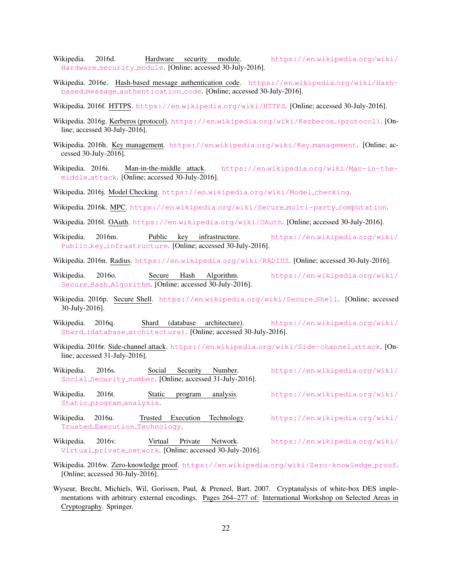- <span id="page-21-11"></span>Wikipedia. 2016d. Hardware security module. [https://en](https://en.wikipedia.org/wiki/Hardware_security_module).wikipedia.org/wiki/ [Hardware](https://en.wikipedia.org/wiki/Hardware_security_module) security module. [Online; accessed 30-July-2016].
- <span id="page-21-10"></span>Wikipedia. 2016e. Hash-based message authentication code. https://en.wikipedia.[org/wiki/Hash](https://en.wikipedia.org/wiki/Hash-based_message_authentication_code)based message [authentication](https://en.wikipedia.org/wiki/Hash-based_message_authentication_code) code. [Online; accessed 30-July-2016].
- <span id="page-21-4"></span>Wikipedia. 2016f. HTTPS. https://en.wikipedia.[org/wiki/HTTPS](https://en.wikipedia.org/wiki/HTTPS). [Online; accessed 30-July-2016].
- <span id="page-21-1"></span>Wikipedia. 2016g. Kerberos (protocol). https://en.wikipedia.[org/wiki/Kerberos](https://en.wikipedia.org/wiki/Kerberos_(protocol)) (protocol). [Online; accessed 30-July-2016].
- <span id="page-21-14"></span>Wikipedia. 2016h. Key management. https://en.wikipedia.[org/wiki/Key](https://en.wikipedia.org/wiki/Key_management) management. [Online; accessed 30-July-2016].
- <span id="page-21-3"></span>Wikipedia. 2016i. Man-in-the-middle attack. https://en.wikipedia.[org/wiki/Man-in-the](https://en.wikipedia.org/wiki/Man-in-the-middle_attack)[middle](https://en.wikipedia.org/wiki/Man-in-the-middle_attack) attack. [Online; accessed 30-July-2016].
- <span id="page-21-16"></span>Wikipedia. 2016j. Model Checking. https://en.wikipedia.[org/wiki/Model](https://en.wikipedia.org/wiki/Model_checking) checking.
- <span id="page-21-19"></span>Wikipedia. 2016k. MPC. https://en.wikipedia.[org/wiki/Secure](https://en.wikipedia.org/wiki/Secure_multi-party_computation) multi-party computation.
- <span id="page-21-0"></span>Wikipedia. 2016l. OAuth. https://en.wikipedia.[org/wiki/OAuth](https://en.wikipedia.org/wiki/OAuth). [Online; accessed 30-July-2016].
- <span id="page-21-7"></span>Wikipedia. 2016m. Public key infrastructure. [https://en](https://en.wikipedia.org/wiki/Public_key_infrastructure).wikipedia.org/wiki/ Public key [infrastructure](https://en.wikipedia.org/wiki/Public_key_infrastructure). [Online; accessed 30-July-2016].
- <span id="page-21-8"></span>Wikipedia. 2016n. Radius. https://en.wikipedia.[org/wiki/RADIUS](https://en.wikipedia.org/wiki/RADIUS). [Online; accessed 30-July-2016].
- <span id="page-21-9"></span>Wikipedia. 2016o. Secure Hash Algorithm. [https://en](https://en.wikipedia.org/wiki/Secure_Hash_Algorithm).wikipedia.org/wiki/ Secure Hash [Algorithm](https://en.wikipedia.org/wiki/Secure_Hash_Algorithm). [Online; accessed 30-July-2016].
- <span id="page-21-5"></span>Wikipedia. 2016p. Secure Shell. https://en.wikipedia.[org/wiki/Secure](https://en.wikipedia.org/wiki/Secure_Shell) Shell. [Online; accessed 30-July-2016].
- <span id="page-21-13"></span>Wikipedia. 2016q. Shard (database architecture). [https://en](https://en.wikipedia.org/wiki/Shard_(database_architecture)).wikipedia.org/wiki/ Shard (database\_[architecture\)](https://en.wikipedia.org/wiki/Shard_(database_architecture)). [Online; accessed 30-July-2016].
- <span id="page-21-17"></span>Wikipedia. 2016r. Side-channel attack. https://en.wikipedia.[org/wiki/Side-channel](https://en.wikipedia.org/wiki/Side-channel_attack) attack. [Online; accessed 31-July-2016].
- <span id="page-21-2"></span>Wikipedia. 2016s. Social Security Number. [https://en](https://en.wikipedia.org/wiki/Social_Security_number).wikipedia.org/wiki/ Social [Security](https://en.wikipedia.org/wiki/Social_Security_number) number. [Online; accessed 31-July-2016].
- <span id="page-21-15"></span>Wikipedia. 2016t. Static program analysis. [https://en](https://en.wikipedia.org/wiki/Static_program_analysis).wikipedia.org/wiki/ Static program [analysis](https://en.wikipedia.org/wiki/Static_program_analysis).
- <span id="page-21-18"></span>Wikipedia. 2016u. Trusted Execution Technology. [https://en](https://en.wikipedia.org/wiki/Trusted_Execution_Technology).wikipedia.org/wiki/ Trusted Execution [Technology](https://en.wikipedia.org/wiki/Trusted_Execution_Technology).
- <span id="page-21-6"></span>Wikipedia. 2016v. Virtual Private Network. [https://en](https://en.wikipedia.org/wiki/Virtual_private_network).wikipedia.org/wiki/ [Virtual](https://en.wikipedia.org/wiki/Virtual_private_network) private network. [Online; accessed 30-July-2016].
- <span id="page-21-12"></span>Wikipedia. 2016w. Zero-knowledge proof. https://en.wikipedia.[org/wiki/Zero-knowledge](https://en.wikipedia.org/wiki/Zero-knowledge_proof)\_proof. [Online; accessed 30-July-2016].
- <span id="page-21-20"></span>Wyseur, Brecht, Michiels, Wil, Gorissen, Paul, & Preneel, Bart. 2007. Cryptanalysis of white-box DES implementations with arbitrary external encodings. Pages 264–277 of: International Workshop on Selected Areas in Cryptography. Springer.